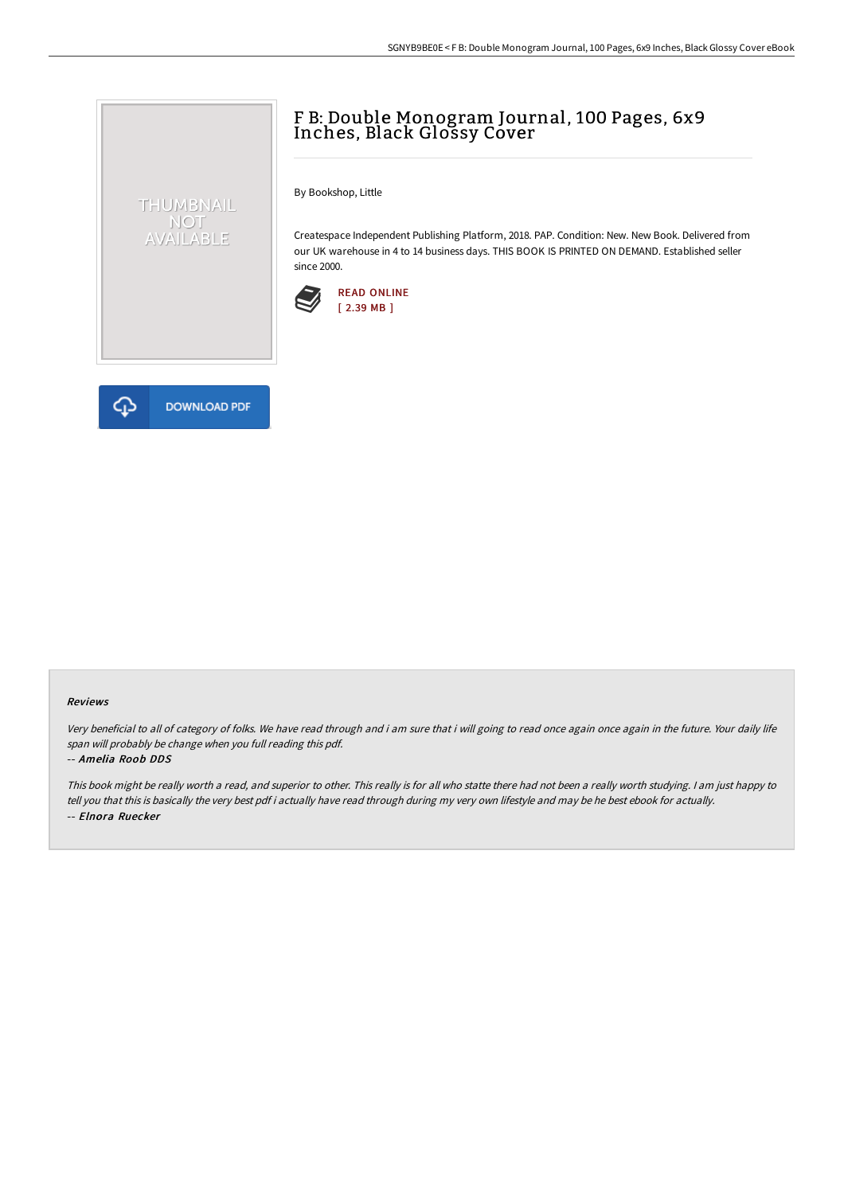## F B: Double Monogram Journal, 100 Pages, 6x9 Inches, Black Glossy Cover

By Bookshop, Little

Createspace Independent Publishing Platform, 2018. PAP. Condition: New. New Book. Delivered from our UK warehouse in 4 to 14 business days. THIS BOOK IS PRINTED ON DEMAND. Established seller since 2000.





THUMBNAIL NOT<br>AVAILABLE

## Reviews

Very beneficial to all of category of folks. We have read through and i am sure that i will going to read once again once again in the future. Your daily life span will probably be change when you full reading this pdf.

## -- Amelia Roob DDS

This book might be really worth <sup>a</sup> read, and superior to other. This really is for all who statte there had not been <sup>a</sup> really worth studying. <sup>I</sup> am just happy to tell you that this is basically the very best pdf i actually have read through during my very own lifestyle and may be he best ebook for actually. -- Elnora Ruecker